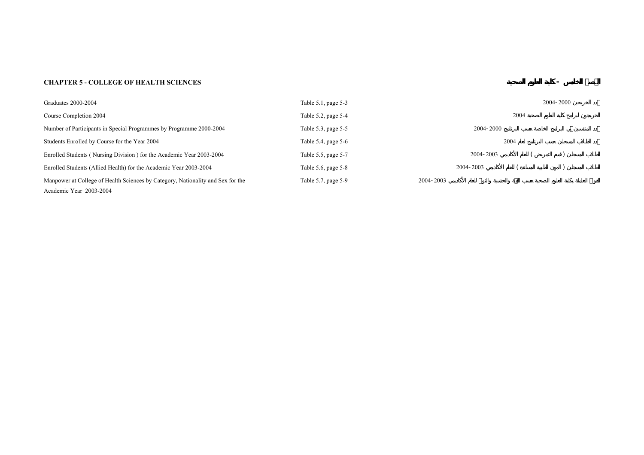## **CHAPTER 5 - COLLEGE OF HEALTH SCIENCES**

| Graduates 2000-2004                                                                                        | Table 5.1, page 5-3   |           | 2004-2000 |
|------------------------------------------------------------------------------------------------------------|-----------------------|-----------|-----------|
| Course Completion 2004                                                                                     | Table 5.2, page 5-4   | 2004      |           |
| Number of Participants in Special Programmes by Programme 2000-2004                                        | Table 5.3, page 5-5   | 2004-2000 |           |
| Students Enrolled by Course for the Year 2004                                                              | Table 5.4, page $5-6$ | 2004      |           |
| Enrolled Students (Nursing Division) for the Academic Year 2003-2004                                       | Table 5.5, page 5-7   | 2004-2003 |           |
| Enrolled Students (Allied Health) for the Academic Year 2003-2004                                          | Table 5.6, page 5-8   | 2004-2003 |           |
| Manpower at College of Health Sciences by Category, Nationality and Sex for the<br>Academic Year 2003-2004 | Table 5.7, page 5-9   | 2004-2003 |           |

**- ¾صŽال**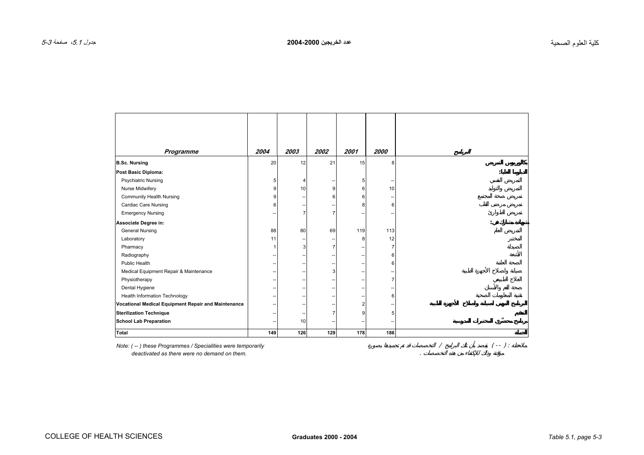<span id="page-2-0"></span>

| Programme                                           | 2004 | 2003           | 2002 | 2001           | 2000                     |     |
|-----------------------------------------------------|------|----------------|------|----------------|--------------------------|-----|
| <b>B.Sc. Nursing</b>                                | 20   | 12             | 21   | 15             | 8                        |     |
| Post Basic Diploma:                                 |      |                |      |                |                          |     |
| <b>Psychiatric Nursing</b>                          | 5    | 4              |      | 5              | --                       |     |
| Nurse Midwifery                                     | 9    | 10             | 9    | 6              | 10                       |     |
| <b>Community Health Nursing</b>                     | 9    |                | 6    | 6              | $\overline{\phantom{a}}$ |     |
| Cardiac Care Nursing                                | 6    |                |      | 8              | 6                        |     |
| <b>Emergency Nursing</b>                            |      | $\overline{7}$ | 7    |                |                          |     |
| Associate Degree in:                                |      |                |      |                |                          |     |
| <b>General Nursing</b>                              | 88   | 80             | 69   | 119            | 113                      |     |
| Laboratory                                          | 11   | -              |      | 8              | 12                       |     |
| Pharmacy                                            |      | 3              | 7    |                | $\overline{7}$           |     |
| Radiography                                         |      |                |      |                | 6                        |     |
| Public Health                                       |      | Ξ.             | --   | --             | 6                        |     |
| Medical Equipment Repair & Maintenance              |      | --             | 3    | --             | --                       |     |
| Physiotherapy                                       |      | -              |      |                | 7                        |     |
| Dental Hygiene                                      |      | --             |      |                | Ξ.                       |     |
| <b>Health Information Technology</b>                |      | --             |      |                | 6                        |     |
| Vocational Medical Equipment Repair and Maintenance |      |                |      | $\overline{2}$ | --                       |     |
| <b>Sterilization Technique</b>                      |      |                | 7    | 9              | 5                        |     |
| <b>School Lab Preparation</b>                       |      | 10             |      |                |                          |     |
| Total                                               |      |                |      |                |                          | 186 |

*Note: ( -- ) these Programmes / Specialities were temporarily* / ( -- ) :  *deactivated as there were no demand on them.* .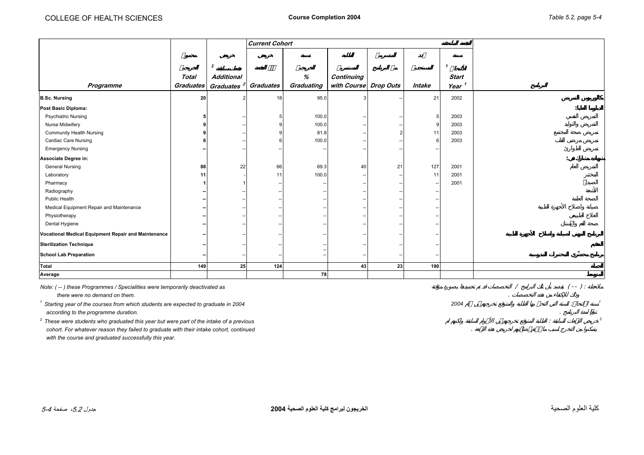<span id="page-3-0"></span>

|                                                     |                  |                        | <b>Current Cohort</b> |            |                       |    |                          |                   |  |
|-----------------------------------------------------|------------------|------------------------|-----------------------|------------|-----------------------|----|--------------------------|-------------------|--|
|                                                     |                  |                        |                       |            |                       |    |                          |                   |  |
|                                                     |                  |                        |                       |            |                       |    |                          |                   |  |
|                                                     |                  | $\overline{2}$         |                       |            |                       |    |                          | $\mathbf{1}$      |  |
|                                                     | <b>Total</b>     | <b>Additional</b>      |                       | $\%$       | Continuing            |    |                          | <b>Start</b>      |  |
| Programme                                           | <b>Graduates</b> | Graduates <sup>2</sup> | Graduates             | Graduating | with Course Drop Outs |    | Intake                   | Year <sup>1</sup> |  |
| <b>B.Sc. Nursing</b>                                | 20               |                        | 18                    | 95.0       |                       |    | 21                       | 2002              |  |
| Post Basic Diploma:                                 |                  |                        |                       |            |                       |    |                          |                   |  |
| <b>Psychiatric Nursing</b>                          |                  |                        |                       | 100.0      |                       |    | 5                        | 2003              |  |
| Nurse Midwifery                                     |                  |                        |                       | 100.0      |                       |    | g                        | 2003              |  |
| <b>Community Health Nursing</b>                     |                  |                        |                       | 81.8       |                       | 2  | 11                       | 2003              |  |
| <b>Cardiac Care Nursing</b>                         |                  |                        |                       | 100.0      |                       |    | 6                        | 2003              |  |
| <b>Emergency Nursing</b>                            |                  |                        |                       |            |                       |    |                          |                   |  |
| Associate Degree in:                                |                  |                        |                       |            |                       |    |                          |                   |  |
| <b>General Nursing</b>                              | 88               | 22                     | 66                    | 69.3       | 40                    | 21 | 127                      | 2001              |  |
| Laboratory                                          | 11               |                        | 11                    | 100.0      |                       |    | 11                       | 2001              |  |
| Pharmacy                                            |                  |                        |                       |            |                       |    | $\overline{\phantom{a}}$ | 2001              |  |
| Radiography                                         |                  |                        |                       |            |                       |    |                          |                   |  |
| Public Health                                       |                  |                        |                       |            |                       |    |                          |                   |  |
| Medical Equipment Repair and Maintenance            |                  |                        |                       |            |                       |    |                          |                   |  |
| Physiotherapy                                       |                  |                        |                       |            |                       |    |                          |                   |  |
| Dental Hygiene                                      |                  |                        |                       |            |                       |    |                          |                   |  |
| Vocational Medical Equipment Repair and Maintenance |                  |                        |                       |            |                       |    |                          |                   |  |
| <b>Sterilization Technique</b>                      |                  |                        |                       |            |                       |    |                          |                   |  |
| <b>School Lab Preparation</b>                       |                  |                        |                       |            |                       |    |                          |                   |  |
| Total                                               | 149              | 25 <sup>1</sup>        | 124                   |            | 43                    | 23 | 190                      |                   |  |
| Average                                             |                  |                        |                       | 78         |                       |    |                          |                   |  |

| Note: (--) these Programmes / Specialities were temporarily deactivated as              |      |  | $- -$ |  |
|-----------------------------------------------------------------------------------------|------|--|-------|--|
| there were no demand on them.                                                           |      |  |       |  |
| Starting year of the courses from which students are expected to graduate in 2004       | 2004 |  |       |  |
| according to the programme duration.                                                    |      |  |       |  |
| These were students who graduated this year but were part of the intake of a previous   |      |  |       |  |
| cohort. For whatever reason they failed to graduate with their intake cohort, continued |      |  |       |  |
| with the course and graduated successfully this year.                                   |      |  |       |  |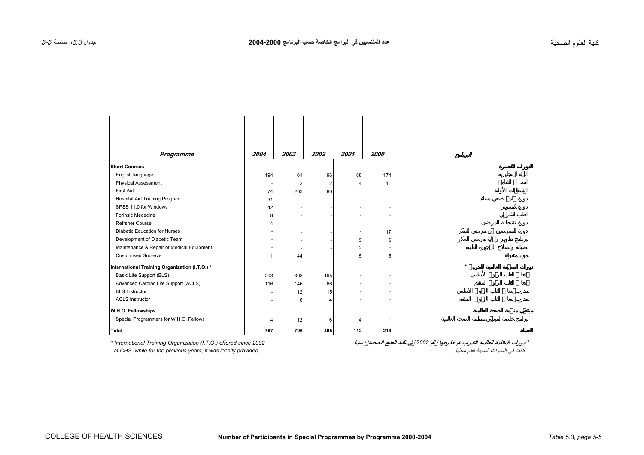<span id="page-4-0"></span>

| Programme                                      | 2004 | 2003 | 2002 | 2001 | 2000 |  |         |  |   |   |
|------------------------------------------------|------|------|------|------|------|--|---------|--|---|---|
| <b>Short Courses</b>                           |      |      |      |      |      |  |         |  |   |   |
| English language                               | 194  | 61   | 96   | 88   | 174  |  |         |  |   |   |
| Physical Assessment                            |      |      | 2    | 4    | 11   |  |         |  | Ù |   |
| First Aid                                      | 74   | 203  | 80   |      |      |  |         |  |   |   |
| Hospital Aid Training Program                  | 31   |      |      |      |      |  |         |  |   | Ù |
| SPSS 11.0 for Windows                          | 42   |      |      |      |      |  |         |  |   |   |
| <b>Forinsic Medecine</b>                       | 8    |      |      |      |      |  |         |  |   |   |
| <b>Refrsher Course</b>                         |      |      |      |      |      |  |         |  |   |   |
| Diabetic Education for Nurses                  |      |      |      |      | 17   |  |         |  |   |   |
| Development of Diabetic Team                   |      |      |      | 9    | 6    |  |         |  |   |   |
| Maintenance & Repair of Medical Equipment      |      |      |      | 2    |      |  |         |  |   |   |
| <b>Customised Subjects</b>                     |      | 44   |      | 5    |      |  |         |  |   |   |
| International Training Organization (I.T.O.) * |      |      |      |      |      |  | $\star$ |  |   |   |
| Basic Life Support (BLS)                       | 293  | 308  | 195  |      |      |  |         |  |   |   |
| Advanced Cardiac Life Support (ACLS)           | 116  | 146  | 66   |      |      |  |         |  |   |   |
| <b>BLS Instructor</b>                          |      | 12   | 15   |      |      |  |         |  |   |   |
| <b>ACLS Instructor</b>                         |      |      |      |      |      |  |         |  |   |   |
| W.H.O. Fellowships                             |      |      |      |      |      |  |         |  |   |   |
| Special Programmers for W.H.O. Fellows         | 4    | 12   | 6    | 4    |      |  |         |  |   |   |
| Total                                          | 767  | 796  | 465  | 112  | 214  |  |         |  |   |   |

*\* International Training Organization (I.T.O.) offered since 2002 2002 \** at CHS, while for the previous years, it was locally provided.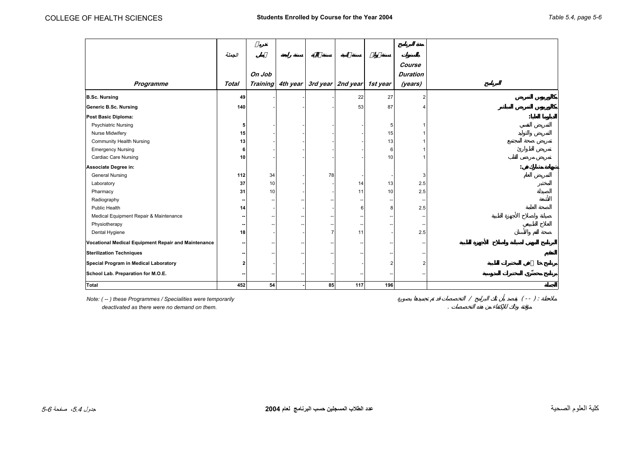<span id="page-5-0"></span>

| الجملة<br>Course<br>On Job<br><b>Duration</b><br>3rd year 2nd year 1st year<br><b>Training</b><br>4th year<br>Programme<br>Total<br>(years)<br>27<br>49<br>22<br>87<br>140<br>53<br><b>Psychiatric Nursing</b><br>5<br>5<br>Nurse Midwifery<br>15<br>15<br><b>Community Health Nursing</b><br>13<br>13<br><b>Emergency Nursing</b><br>6<br>6<br><b>Cardiac Care Nursing</b><br>10<br>10<br><b>General Nursing</b><br>112<br>78<br>34<br>3<br>2.5<br>Laboratory<br>37<br>10<br>13<br>14<br>10<br>2.5<br>Pharmacy<br>31<br>10<br>11<br>Radiography<br>Public Health<br>2.5<br>14<br>6<br>8<br>Medical Equipment Repair & Maintenance<br>Physiotherapy<br>--<br>2.5<br>Dental Hygiene<br>18<br>11<br>2<br>$\overline{2}$<br>--<br>Ξ.<br>54<br>452<br>85<br>117<br>196 |                                                     |  |  |  |  |
|--------------------------------------------------------------------------------------------------------------------------------------------------------------------------------------------------------------------------------------------------------------------------------------------------------------------------------------------------------------------------------------------------------------------------------------------------------------------------------------------------------------------------------------------------------------------------------------------------------------------------------------------------------------------------------------------------------------------------------------------------------------------|-----------------------------------------------------|--|--|--|--|
|                                                                                                                                                                                                                                                                                                                                                                                                                                                                                                                                                                                                                                                                                                                                                                    |                                                     |  |  |  |  |
|                                                                                                                                                                                                                                                                                                                                                                                                                                                                                                                                                                                                                                                                                                                                                                    |                                                     |  |  |  |  |
|                                                                                                                                                                                                                                                                                                                                                                                                                                                                                                                                                                                                                                                                                                                                                                    |                                                     |  |  |  |  |
|                                                                                                                                                                                                                                                                                                                                                                                                                                                                                                                                                                                                                                                                                                                                                                    |                                                     |  |  |  |  |
|                                                                                                                                                                                                                                                                                                                                                                                                                                                                                                                                                                                                                                                                                                                                                                    |                                                     |  |  |  |  |
|                                                                                                                                                                                                                                                                                                                                                                                                                                                                                                                                                                                                                                                                                                                                                                    | <b>B.Sc. Nursing</b>                                |  |  |  |  |
|                                                                                                                                                                                                                                                                                                                                                                                                                                                                                                                                                                                                                                                                                                                                                                    | <b>Generic B.Sc. Nursing</b>                        |  |  |  |  |
|                                                                                                                                                                                                                                                                                                                                                                                                                                                                                                                                                                                                                                                                                                                                                                    | Post Basic Diploma:                                 |  |  |  |  |
|                                                                                                                                                                                                                                                                                                                                                                                                                                                                                                                                                                                                                                                                                                                                                                    |                                                     |  |  |  |  |
|                                                                                                                                                                                                                                                                                                                                                                                                                                                                                                                                                                                                                                                                                                                                                                    |                                                     |  |  |  |  |
|                                                                                                                                                                                                                                                                                                                                                                                                                                                                                                                                                                                                                                                                                                                                                                    |                                                     |  |  |  |  |
|                                                                                                                                                                                                                                                                                                                                                                                                                                                                                                                                                                                                                                                                                                                                                                    |                                                     |  |  |  |  |
|                                                                                                                                                                                                                                                                                                                                                                                                                                                                                                                                                                                                                                                                                                                                                                    |                                                     |  |  |  |  |
|                                                                                                                                                                                                                                                                                                                                                                                                                                                                                                                                                                                                                                                                                                                                                                    | Associate Degree in:                                |  |  |  |  |
|                                                                                                                                                                                                                                                                                                                                                                                                                                                                                                                                                                                                                                                                                                                                                                    |                                                     |  |  |  |  |
|                                                                                                                                                                                                                                                                                                                                                                                                                                                                                                                                                                                                                                                                                                                                                                    |                                                     |  |  |  |  |
|                                                                                                                                                                                                                                                                                                                                                                                                                                                                                                                                                                                                                                                                                                                                                                    |                                                     |  |  |  |  |
|                                                                                                                                                                                                                                                                                                                                                                                                                                                                                                                                                                                                                                                                                                                                                                    |                                                     |  |  |  |  |
|                                                                                                                                                                                                                                                                                                                                                                                                                                                                                                                                                                                                                                                                                                                                                                    |                                                     |  |  |  |  |
|                                                                                                                                                                                                                                                                                                                                                                                                                                                                                                                                                                                                                                                                                                                                                                    |                                                     |  |  |  |  |
|                                                                                                                                                                                                                                                                                                                                                                                                                                                                                                                                                                                                                                                                                                                                                                    |                                                     |  |  |  |  |
|                                                                                                                                                                                                                                                                                                                                                                                                                                                                                                                                                                                                                                                                                                                                                                    |                                                     |  |  |  |  |
|                                                                                                                                                                                                                                                                                                                                                                                                                                                                                                                                                                                                                                                                                                                                                                    | Vocational Medical Equipment Repair and Maintenance |  |  |  |  |
|                                                                                                                                                                                                                                                                                                                                                                                                                                                                                                                                                                                                                                                                                                                                                                    | <b>Sterilization Techniques</b>                     |  |  |  |  |
|                                                                                                                                                                                                                                                                                                                                                                                                                                                                                                                                                                                                                                                                                                                                                                    | Special Program in Medical Laboratory               |  |  |  |  |
|                                                                                                                                                                                                                                                                                                                                                                                                                                                                                                                                                                                                                                                                                                                                                                    | School Lab. Preparation for M.O.E.                  |  |  |  |  |
|                                                                                                                                                                                                                                                                                                                                                                                                                                                                                                                                                                                                                                                                                                                                                                    | Total                                               |  |  |  |  |

*Note: ( -- ) these Programmes / Specialities were temporarily* / ( -- ) :  *deactivated as there were no demand on them.* .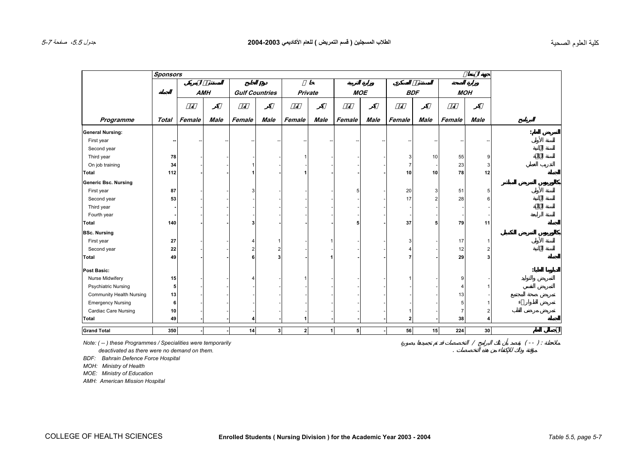<span id="page-6-0"></span>

| Programme<br><b>General Nursing:</b><br>First year<br>Second year<br>Third year<br>On job training<br>Total<br><b>Generic Bsc. Nursing</b><br>First year<br>Second year<br>Third year<br>Fourth year<br>Total<br><b>BSc. Nursing</b><br>First year<br>Second year<br>Total | Total<br>78<br>34<br>112<br>87<br>53<br>140 | <b>AMH</b><br>Female | <b>Male</b> | <b>Gulf Countries</b><br>Female<br>3 | Ø<br>Male      | Private<br>Female | Male         | <b>MOE</b><br>Female | Male | Female<br>3<br>-7<br>10<br>20<br>17 | <b>BDF</b><br>Male<br>10<br>10<br>3<br>2 | <b>MOH</b><br>Female<br>55<br>23<br>78<br>51<br>28 | <b>Male</b><br>9<br>3<br>12 |
|----------------------------------------------------------------------------------------------------------------------------------------------------------------------------------------------------------------------------------------------------------------------------|---------------------------------------------|----------------------|-------------|--------------------------------------|----------------|-------------------|--------------|----------------------|------|-------------------------------------|------------------------------------------|----------------------------------------------------|-----------------------------|
|                                                                                                                                                                                                                                                                            |                                             |                      |             |                                      |                |                   |              |                      |      |                                     |                                          |                                                    |                             |
|                                                                                                                                                                                                                                                                            |                                             |                      |             |                                      |                |                   |              |                      |      |                                     |                                          |                                                    |                             |
|                                                                                                                                                                                                                                                                            |                                             |                      |             |                                      |                |                   |              |                      |      |                                     |                                          |                                                    |                             |
|                                                                                                                                                                                                                                                                            |                                             |                      |             |                                      |                |                   |              |                      |      |                                     |                                          |                                                    |                             |
|                                                                                                                                                                                                                                                                            |                                             |                      |             |                                      |                |                   |              |                      |      |                                     |                                          |                                                    |                             |
|                                                                                                                                                                                                                                                                            |                                             |                      |             |                                      |                |                   |              |                      |      |                                     |                                          |                                                    |                             |
|                                                                                                                                                                                                                                                                            |                                             |                      |             |                                      |                |                   |              |                      |      |                                     |                                          |                                                    |                             |
|                                                                                                                                                                                                                                                                            |                                             |                      |             |                                      |                |                   |              |                      |      |                                     |                                          |                                                    |                             |
|                                                                                                                                                                                                                                                                            |                                             |                      |             |                                      |                |                   |              |                      |      |                                     |                                          |                                                    |                             |
|                                                                                                                                                                                                                                                                            |                                             |                      |             |                                      |                |                   |              |                      |      |                                     |                                          |                                                    |                             |
|                                                                                                                                                                                                                                                                            |                                             |                      |             |                                      |                |                   |              |                      |      |                                     |                                          |                                                    |                             |
|                                                                                                                                                                                                                                                                            |                                             |                      |             |                                      |                |                   |              |                      |      |                                     |                                          |                                                    |                             |
|                                                                                                                                                                                                                                                                            |                                             |                      |             |                                      |                |                   |              |                      |      |                                     |                                          |                                                    |                             |
|                                                                                                                                                                                                                                                                            |                                             |                      |             |                                      |                |                   |              |                      |      |                                     |                                          |                                                    |                             |
|                                                                                                                                                                                                                                                                            |                                             |                      |             |                                      |                |                   |              |                      |      |                                     |                                          |                                                    |                             |
|                                                                                                                                                                                                                                                                            |                                             |                      |             |                                      |                |                   |              |                      |      |                                     |                                          |                                                    |                             |
|                                                                                                                                                                                                                                                                            |                                             |                      |             |                                      |                |                   |              |                      |      | 37                                  | 5                                        | 79                                                 | 11                          |
|                                                                                                                                                                                                                                                                            |                                             |                      |             |                                      |                |                   |              |                      |      |                                     |                                          |                                                    |                             |
|                                                                                                                                                                                                                                                                            | 27                                          |                      |             | Δ                                    |                |                   |              |                      |      |                                     |                                          | 17                                                 |                             |
|                                                                                                                                                                                                                                                                            | 22                                          |                      |             |                                      |                |                   |              |                      |      |                                     |                                          | 12                                                 |                             |
|                                                                                                                                                                                                                                                                            | 49                                          |                      |             | 6                                    |                |                   |              |                      |      |                                     |                                          | 29                                                 |                             |
| Post Basic:                                                                                                                                                                                                                                                                |                                             |                      |             |                                      |                |                   |              |                      |      |                                     |                                          |                                                    |                             |
| Nurse Midwifery                                                                                                                                                                                                                                                            | 15                                          |                      |             |                                      |                |                   |              |                      |      |                                     |                                          | 9                                                  |                             |
| <b>Psychiatric Nursing</b>                                                                                                                                                                                                                                                 | 5                                           |                      |             |                                      |                |                   |              |                      |      |                                     |                                          |                                                    |                             |
| <b>Community Health Nursing</b>                                                                                                                                                                                                                                            | 13                                          |                      |             |                                      |                |                   |              |                      |      |                                     |                                          | 13                                                 |                             |
| <b>Emergency Nursing</b>                                                                                                                                                                                                                                                   | 6                                           |                      |             |                                      |                |                   |              |                      |      |                                     |                                          |                                                    |                             |
| <b>Cardiac Care Nursing</b>                                                                                                                                                                                                                                                | 10                                          |                      |             |                                      |                |                   |              |                      |      |                                     |                                          |                                                    |                             |
| Total                                                                                                                                                                                                                                                                      | 49                                          |                      |             |                                      |                |                   |              |                      |      | 2                                   |                                          | 38                                                 |                             |
| <b>Grand Total</b>                                                                                                                                                                                                                                                         | 350                                         |                      |             | 14                                   | 3 <sup>1</sup> | 2                 | $\mathbf{1}$ | 5 <sub>1</sub>       |      | 56                                  | 15                                       | 224                                                | 30                          |

*BDF: Bahrain Defence Force Hospital*

*MOH: Ministry of Health* 

*MOE: Ministry of Education*

*AMH: American Mission Hospital*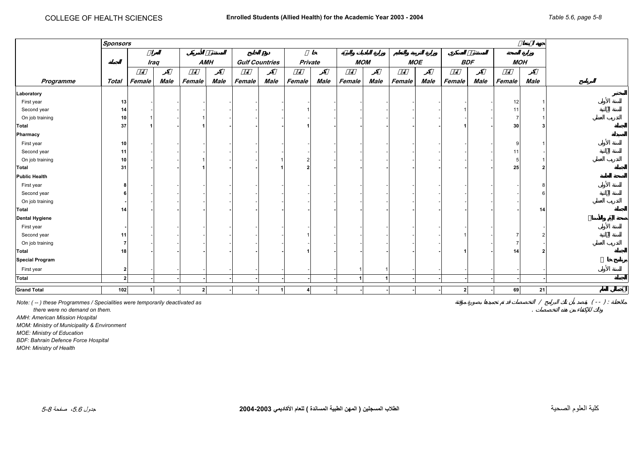<span id="page-7-0"></span>

|                        | <b>Sponsors</b> |           |             |        |      |        |                            |                         |      |                      |                      |        |            |        |            |        |            |  |
|------------------------|-----------------|-----------|-------------|--------|------|--------|----------------------------|-------------------------|------|----------------------|----------------------|--------|------------|--------|------------|--------|------------|--|
|                        |                 |           |             |        |      |        | $\boldsymbol{\mathcal{O}}$ |                         |      |                      |                      |        |            |        |            |        |            |  |
|                        |                 |           | <b>Iraq</b> |        | AMH  |        | <b>Gulf Countries</b>      | Private                 |      |                      | <b>MOM</b>           |        | <b>MOE</b> |        | <b>BDF</b> |        | <b>MOH</b> |  |
|                        |                 |           |             |        |      |        |                            |                         |      |                      |                      |        |            |        |            |        |            |  |
| Programme              | Total           | Female    | Male        | Female | Male | Female | Male                       | Female                  | Male | Female               | Male                 | Female | Male       | Female | Male       | Female | Male       |  |
| Laboratory             |                 |           |             |        |      |        |                            |                         |      |                      |                      |        |            |        |            |        |            |  |
| First year             | 13              |           |             |        |      |        |                            |                         |      |                      |                      |        |            |        |            | 12     |            |  |
| Second year            | 14              |           |             |        |      |        |                            |                         |      |                      |                      |        |            |        |            | 11     |            |  |
| On job training        | 10              |           |             |        |      |        |                            |                         |      |                      |                      |        |            |        |            |        |            |  |
| Total                  | 37              |           |             |        |      |        |                            |                         |      |                      |                      |        |            |        |            | 30     |            |  |
| Pharmacy               |                 |           |             |        |      |        |                            |                         |      |                      |                      |        |            |        |            |        |            |  |
| First year             | 10              |           |             |        |      |        |                            |                         |      |                      |                      |        |            |        |            |        |            |  |
| Second year            | 11              |           |             |        |      |        |                            |                         |      |                      |                      |        |            |        |            | -11    |            |  |
| On job training        | 10              |           |             |        |      |        |                            |                         |      |                      |                      |        |            |        |            | 5      |            |  |
| Total                  | 31              |           |             |        |      |        |                            |                         |      |                      |                      |        |            |        |            | 25     | 2          |  |
| <b>Public Health</b>   |                 |           |             |        |      |        |                            |                         |      |                      |                      |        |            |        |            |        |            |  |
| First year             |                 |           |             |        |      |        |                            |                         |      |                      |                      |        |            |        |            |        |            |  |
| Second year            |                 |           |             |        |      |        |                            |                         |      |                      |                      |        |            |        |            |        |            |  |
| On job training        |                 |           |             |        |      |        |                            |                         |      |                      |                      |        |            |        |            |        |            |  |
| Total                  | 14              |           |             |        |      |        |                            |                         |      |                      |                      |        |            |        |            |        | 14         |  |
| <b>Dental Hygiene</b>  |                 |           |             |        |      |        |                            |                         |      |                      |                      |        |            |        |            |        |            |  |
| First year             |                 |           |             |        |      |        |                            |                         |      |                      |                      |        |            |        |            |        |            |  |
| Second year            | 11              |           |             |        |      |        |                            |                         |      |                      |                      |        |            |        |            |        |            |  |
| On job training        |                 |           |             |        |      |        |                            |                         |      |                      |                      |        |            |        |            |        |            |  |
| Total                  | 18              |           |             |        |      |        |                            |                         |      |                      |                      |        |            |        |            | 14     | 2          |  |
| <b>Special Program</b> |                 |           |             |        |      |        |                            |                         |      |                      |                      |        |            |        |            |        |            |  |
| First year             | 2               |           |             |        |      |        |                            |                         |      |                      |                      |        |            |        |            |        |            |  |
| Total                  | $\overline{2}$  |           |             |        |      |        |                            |                         |      | $\blacktriangleleft$ | $\blacktriangleleft$ |        |            |        |            |        |            |  |
| <b>Grand Total</b>     | 102             | $\vert$ 1 |             | 2      |      |        | 1                          | $\overline{\mathbf{4}}$ |      |                      |                      |        |            | 2      |            | 69     | 21         |  |
|                        |                 |           |             |        |      |        |                            |                         |      |                      |                      |        |            |        |            |        |            |  |

*Note: ( -- ) these Programmes / Specialities were temporarily deactivated as* / ( -- ) :

 *there were no demand on them.* .

*AMH: American Mission Hospital* 

*MOM: Ministry of Municipality & Environment*

*MOE: Ministry of Education* 

*BDF: Bahrain Defence Force Hospital* 

*MOH: Ministry of Health*